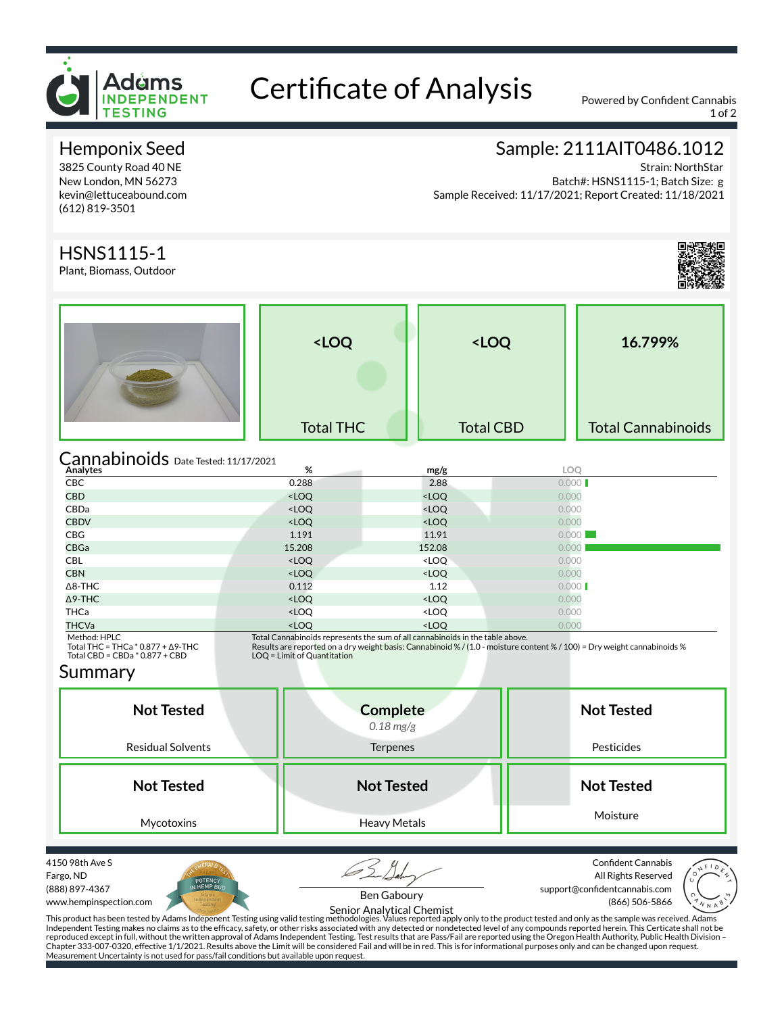

# Certificate of Analysis Powered by Confident Cannabis

1 of 2

### Hemponix Seed

3825 County Road 40 NE New London, MN 56273 kevin@lettuceabound.com (612) 819-3501

### Sample: 2111AIT0486.1012

Strain: NorthStar Batch#: HSNS1115-1; Batch Size: g Sample Received: 11/17/2021; Report Created: 11/18/2021

### HSNS1115-1

Plant, Biomass, Outdoor



|                                                                                                 | <loq<br><b>Total THC</b></loq<br>                                       |                                                                                                                                                                                                           | <loq<br><b>Total CBD</b></loq<br> | 16.799%<br><b>Total Cannabinoids</b> |  |  |
|-------------------------------------------------------------------------------------------------|-------------------------------------------------------------------------|-----------------------------------------------------------------------------------------------------------------------------------------------------------------------------------------------------------|-----------------------------------|--------------------------------------|--|--|
| Cannabinoids Date Tested: 11/17/2021<br>%<br>Analytes<br><b>LOO</b><br>mg/g                     |                                                                         |                                                                                                                                                                                                           |                                   |                                      |  |  |
| <b>CBC</b>                                                                                      | 0.288                                                                   | 2.88                                                                                                                                                                                                      | 0.000                             |                                      |  |  |
| <b>CBD</b>                                                                                      | $<$ LOQ                                                                 | <loq< td=""><td>0.000</td><td></td></loq<>                                                                                                                                                                | 0.000                             |                                      |  |  |
| CBDa                                                                                            | <loq< td=""><td><loq< td=""><td>0.000</td><td></td></loq<></td></loq<>  | <loq< td=""><td>0.000</td><td></td></loq<>                                                                                                                                                                | 0.000                             |                                      |  |  |
| <b>CBDV</b>                                                                                     | <loq< td=""><td><math>&lt;</math>LOQ</td><td>0.000</td><td></td></loq<> | $<$ LOQ                                                                                                                                                                                                   | 0.000                             |                                      |  |  |
| <b>CBG</b>                                                                                      | 1.191                                                                   | 11.91                                                                                                                                                                                                     | 0.000                             |                                      |  |  |
| CBGa                                                                                            | 15.208                                                                  | 152.08                                                                                                                                                                                                    | 0.000                             |                                      |  |  |
| <b>CBL</b>                                                                                      | <loq< td=""><td><loq< td=""><td>0.000</td><td></td></loq<></td></loq<>  | <loq< td=""><td>0.000</td><td></td></loq<>                                                                                                                                                                | 0.000                             |                                      |  |  |
| <b>CBN</b>                                                                                      | <loq< td=""><td><loo< td=""><td>0.000</td><td></td></loo<></td></loq<>  | <loo< td=""><td>0.000</td><td></td></loo<>                                                                                                                                                                | 0.000                             |                                      |  |  |
| $\Delta$ 8-THC                                                                                  | 0.112                                                                   | 1.12                                                                                                                                                                                                      | 0.000                             |                                      |  |  |
| $\Delta$ 9-THC                                                                                  | $<$ LOQ                                                                 | <loq< td=""><td>0.000</td><td></td></loq<>                                                                                                                                                                | 0.000                             |                                      |  |  |
| <b>THCa</b>                                                                                     | <loq< td=""><td><loq< td=""><td>0.000</td><td></td></loq<></td></loq<>  | <loq< td=""><td>0.000</td><td></td></loq<>                                                                                                                                                                | 0.000                             |                                      |  |  |
| <b>THCVa</b>                                                                                    | $<$ LOO                                                                 | <loq< td=""><td>0.000</td><td></td></loq<>                                                                                                                                                                | 0.000                             |                                      |  |  |
| Method: HPLC<br>Total THC = THCa $*$ 0.877 + $\Delta$ 9-THC<br>Total CBD = $CBDa * 0.877 + CBD$ | LOQ = Limit of Quantitation                                             | Total Cannabinoids represents the sum of all cannabinoids in the table above.<br>Results are reported on a dry weight basis: Cannabinoid % / (1.0 - moisture content % / 100) = Dry weight cannabinoids % |                                   |                                      |  |  |

#### Summary

|           | <b>Not Tested</b><br><b>Residual Solvents</b>                                                                           | <b>Complete</b><br>$0.18$ mg/g<br><b>Terpenes</b> | <b>Not Tested</b><br>Pesticides                                                                                                                                                                                                                                                                                                                                                                                                                            |
|-----------|-------------------------------------------------------------------------------------------------------------------------|---------------------------------------------------|------------------------------------------------------------------------------------------------------------------------------------------------------------------------------------------------------------------------------------------------------------------------------------------------------------------------------------------------------------------------------------------------------------------------------------------------------------|
|           | <b>Not Tested</b><br>Mycotoxins                                                                                         | <b>Not Tested</b><br>Heavy Metals                 | <b>Not Tested</b><br>Moisture                                                                                                                                                                                                                                                                                                                                                                                                                              |
| Fargo, ND | 4150 98th Ave S<br>POTENCY<br>IN HEMP BUD<br>(888) 897-4367<br>dams<br>Independent<br>Testing<br>www.hempinspection.com | Ben Gaboury<br>Senior Analytical Chemist          | <b>Confident Cannabis</b><br>All Rights Reserved<br>support@confidentcannabis.com<br>(866) 506-5866<br>$\begin{picture}(180,10) \put(0,0){\line(1,0){10}} \put(10,0){\line(1,0){10}} \put(10,0){\line(1,0){10}} \put(10,0){\line(1,0){10}} \put(10,0){\line(1,0){10}} \put(10,0){\line(1,0){10}} \put(10,0){\line(1,0){10}} \put(10,0){\line(1,0){10}} \put(10,0){\line(1,0){10}} \put(10,0){\line(1,0){10}} \put(10,0){\line(1,0){10}} \put(10,0){\line($ |





This product has been tested by Adams Indepenent Testing using valid testing methodologies. Values reported apply only to the product tested and only as the sample was received. Adams Independent Testing makes no claims as to the efficacy, safety, or other risks associated with any detected or nondetected level of any compounds reported herein. This Certicate shall not be<br>reproduced except in full, with Measurement Uncertainty is not used for pass/fail conditions but available upon request.